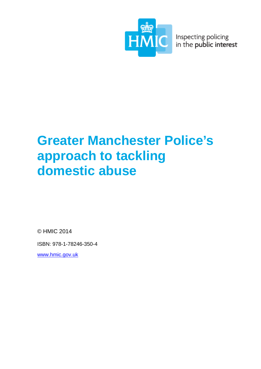

Inspecting policing<br>in the public interest

# **Greater Manchester Police's approach to tackling domestic abuse**

© HMIC 2014

ISBN: 978-1-78246-350-4

[www.hmic.gov.uk](http://www.hmic.gov.uk/)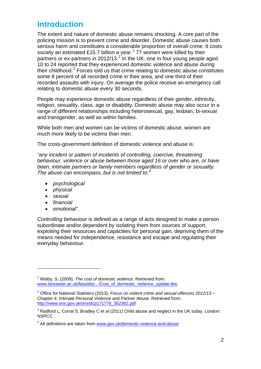# **Introduction**

The extent and nature of domestic abuse remains shocking. A core part of the policing mission is to prevent crime and disorder. Domestic abuse causes both serious harm and constitutes a considerable proportion of overall crime. It costs society an estimated £[1](#page-1-0)5.7 billion a year.<sup>1</sup> 77 women were killed by their partners or ex-partners in [2](#page-1-1)012/13. $^2$  In the UK, one in four young people aged 10 to 24 reported that they experienced domestic violence and abuse during their childhood. $3$  Forces told us that crime relating to domestic abuse constitutes some 8 percent of all recorded crime in their area, and one third of their recorded assaults with injury. On average the police receive an emergency call relating to domestic abuse every 30 seconds.

People may experience domestic abuse regardless of their gender, ethnicity, religion, sexuality, class, age or disability. Domestic abuse may also occur in a range of different relationships including heterosexual, gay, lesbian, bi-sexual and transgender, as well as within families.

While both men and women can be victims of domestic abuse, women are much more likely to be victims than men.

The cross-government definition of domestic violence and abuse is:

*"any incident or pattern of incidents of controlling, coercive, threatening behaviour, violence or abuse between those aged 16 or over who are, or have been, intimate partners or family members regardless of gender or sexuality. The abuse can encompass, but is not limited to:[4](#page-1-3)*

- *psychological*
- *physical*
- *sexual*

-

- *financial*
- *emotional".*

*Controlling behaviour* is defined as a range of acts designed to make a person subordinate and/or dependent by isolating them from sources of support, exploiting their resources and capacities for personal gain, depriving them of the means needed for independence, resistance and escape and regulating their everyday behaviour.

<span id="page-1-0"></span><sup>1</sup> Walby, S. (2009). *The cost of domestic violence*. Retrieved from: [www.lancaster.ac.uk/fass/doc.../Cost\\_of\\_domestic\\_violence\\_update.doc](http://www.lancaster.ac.uk/fass/doc.../Cost_of_domestic_violence_update.doc)

<span id="page-1-1"></span><sup>2</sup> Office for National Statistics (2013). *Focus on violent crime and sexual offences 2012/13* – Chapter 4: Intimate Personal Violence and Partner Abuse. Retrieved from: [http://www.ons.gov.uk/ons/dcp171776\\_352362.pdf](http://www.ons.gov.uk/ons/dcp171776_352362.pdf)

<span id="page-1-2"></span> $3$  Radford L, Corral S, Bradley C et al (2011) Child abuse and neglect in the UK today. London: NSPCC.

<span id="page-1-3"></span><sup>&</sup>lt;sup>4</sup> All definitions are taken from [www.gov.uk/domestic-violence-and-abuse](http://www.gov.uk/domestic-violence-and-abuse)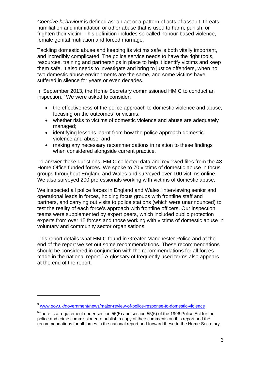*Coercive behaviour* is defined as: an act or a pattern of acts of assault, threats, humiliation and intimidation or other abuse that is used to harm, punish, or frighten their victim. This definition includes so-called honour-based violence, female genital mutilation and forced marriage.

Tackling domestic abuse and keeping its victims safe is both vitally important, and incredibly complicated. The police service needs to have the right tools, resources, training and partnerships in place to help it identify victims and keep them safe. It also needs to investigate and bring to justice offenders, when no two domestic abuse environments are the same, and some victims have suffered in silence for years or even decades.

In September 2013, the Home Secretary commissioned HMIC to conduct an inspection.<sup>[5](#page-2-0)</sup> We were asked to consider:

- the effectiveness of the police approach to domestic violence and abuse, focusing on the outcomes for victims;
- whether risks to victims of domestic violence and abuse are adequately managed;
- identifying lessons learnt from how the police approach domestic violence and abuse; and
- making any necessary recommendations in relation to these findings when considered alongside current practice.

To answer these questions, HMIC collected data and reviewed files from the 43 Home Office funded forces. We spoke to 70 victims of domestic abuse in focus groups throughout England and Wales and surveyed over 100 victims online. We also surveyed 200 professionals working with victims of domestic abuse.

We inspected all police forces in England and Wales, interviewing senior and operational leads in forces, holding focus groups with frontline staff and partners, and carrying out visits to police stations (which were unannounced) to test the reality of each force's approach with frontline officers. Our inspection teams were supplemented by expert peers, which included public protection experts from over 15 forces and those working with victims of domestic abuse in voluntary and community sector organisations.

This report details what HMIC found in Greater Manchester Police and at the end of the report we set out some recommendations. These recommendations should be considered in conjunction with the recommendations for all forces made in the national report.<sup>[6](#page-2-1)</sup> A glossary of frequently used terms also appears at the end of the report.

-

<span id="page-2-0"></span><sup>5</sup> [www.gov.uk/government/news/major-review-of-police-response-to-domestic-violence](http://www.gov.uk/government/news/major-review-of-police-response-to-domestic-violence)

<span id="page-2-1"></span> $\mathrm{^{6}T}$ here is a requirement under section 55(5) and section 55(6) of the 1996 Police Act for the police and crime commissioner to publish a copy of their comments on this report and the recommendations for all forces in the national report and forward these to the Home Secretary.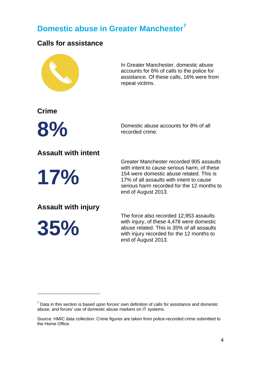# **Domestic abuse in Greater Manchester[7](#page-3-0)**

## **Calls for assistance**



In Greater Manchester, domestic abuse accounts for 6% of calls to the police for assistance. Of these calls, 16% were from repeat victims.

**Crime**

**8 Domestic abuse accounts for 8% of all** recorded crime. recorded crime.

# **Assault with intent**

**17%**

Greater Manchester recorded 905 assaults with intent to cause serious harm, of these 154 were domestic abuse related. This is 17% of all assaults with intent to cause serious harm recorded for the 12 months to end of August 2013.

**Assault with injury**

**35%**

-

The force also recorded 12,953 assaults with injury, of these 4,478 were domestic abuse related. This is 35% of all assaults with injury recorded for the 12 months to end of August 2013.

<span id="page-3-0"></span> $7$  Data in this section is based upon forces' own definition of calls for assistance and domestic abuse, and forces' use of domestic abuse markers on IT systems.

Source: HMIC data collection. Crime figures are taken from police-recorded crime submitted to the Home Office.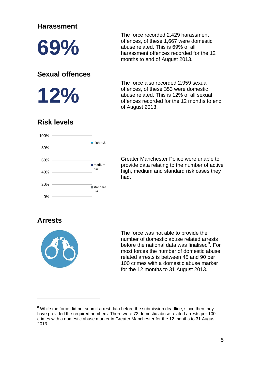### **Harassment**

**69%**

### **Sexual offences**

**12%**

The force recorded 2,429 harassment offences, of these 1,667 were domestic abuse related. This is 69% of all harassment offences recorded for the 12 months to end of August 2013.

The force also recorded 2,959 sexual offences, of these 353 were domestic abuse related. This is 12% of all sexual offences recorded for the 12 months to end of August 2013.

# **Risk levels**



Greater Manchester Police were unable to provide data relating to the number of active high, medium and standard risk cases they had.

### **Arrests**

-



The force was not able to provide the number of domestic abuse related arrests before the national data was finalised<sup>[8](#page-4-0)</sup>. For most forces the number of domestic abuse related arrests is between 45 and 90 per 100 crimes with a domestic abuse marker for the 12 months to 31 August 2013.

<span id="page-4-0"></span> $8$  While the force did not submit arrest data before the submission deadline, since then they have provided the required numbers. There were 72 domestic abuse related arrests per 100 crimes with a domestic abuse marker in Greater Manchester for the 12 months to 31 August 2013.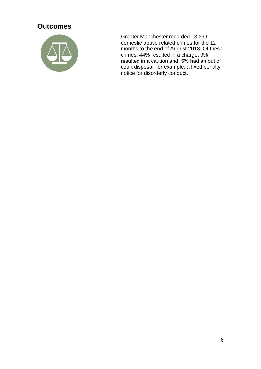## **Outcomes**



Greater Manchester recorded 13,399 domestic abuse related crimes for the 12 months to the end of August 2013. Of these crimes, 44% resulted in a charge, 9% resulted in a caution and, 5% had an out of court disposal, for example, a fixed penalty notice for disorderly conduct.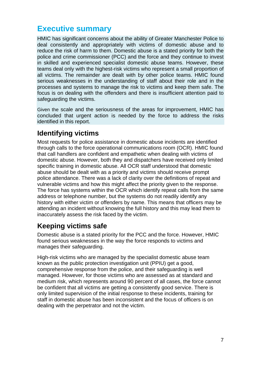# **Executive summary**

HMIC has significant concerns about the ability of Greater Manchester Police to deal consistently and appropriately with victims of domestic abuse and to reduce the risk of harm to them. Domestic abuse is a stated priority for both the police and crime commissioner (PCC) and the force and they continue to invest in skilled and experienced specialist domestic abuse teams. However, these teams deal only with the highest-risk victims who represent a small proportion of all victims. The remainder are dealt with by other police teams. HMIC found serious weaknesses in the understanding of staff about their role and in the processes and systems to manage the risk to victims and keep them safe. The focus is on dealing with the offenders and there is insufficient attention paid to safeguarding the victims.

Given the scale and the seriousness of the areas for improvement, HMIC has concluded that urgent action is needed by the force to address the risks identified in this report.

# **Identifying victims**

Most requests for police assistance in domestic abuse incidents are identified through calls to the force operational communications room (OCR). HMIC found that call handlers are confident and empathetic when dealing with victims of domestic abuse. However, both they and dispatchers have received only limited specific training in domestic abuse. All OCR staff understood that domestic abuse should be dealt with as a priority and victims should receive prompt police attendance. There was a lack of clarity over the definitions of repeat and vulnerable victims and how this might affect the priority given to the response. The force has systems within the OCR which identify repeat calls from the same address or telephone number, but the systems do not readily identify any history with either victim or offenders by name. This means that officers may be attending an incident without knowing the full history and this may lead them to inaccurately assess the risk faced by the victim.

# **Keeping victims safe**

Domestic abuse is a stated priority for the PCC and the force. However, HMIC found serious weaknesses in the way the force responds to victims and manages their safeguarding.

High-risk victims who are managed by the specialist domestic abuse team known as the public protection investigation unit (PPIU) get a good, comprehensive response from the police, and their safeguarding is well managed. However, for those victims who are assessed as at standard and medium risk, which represents around 90 percent of all cases, the force cannot be confident that all victims are getting a consistently good service. There is only limited supervision of the initial response to these incidents, training for staff in domestic abuse has been inconsistent and the focus of officers is on dealing with the perpetrator and not the victim.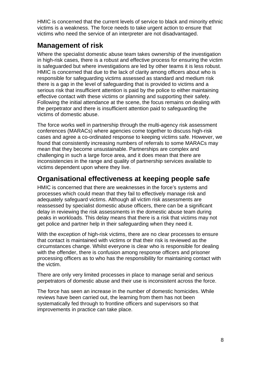HMIC is concerned that the current levels of service to black and minority ethnic victims is a weakness. The force needs to take urgent action to ensure that victims who need the service of an interpreter are not disadvantaged.

### **Management of risk**

Where the specialist domestic abuse team takes ownership of the investigation in high-risk cases, there is a robust and effective process for ensuring the victim is safeguarded but where investigations are led by other teams it is less robust. HMIC is concerned that due to the lack of clarity among officers about who is responsible for safeguarding victims assessed as standard and medium risk there is a gap in the level of safeguarding that is provided to victims and a serious risk that insufficient attention is paid by the police to either maintaining effective contact with these victims or planning and supporting their safety. Following the initial attendance at the scene, the focus remains on dealing with the perpetrator and there is insufficient attention paid to safeguarding the victims of domestic abuse.

The force works well in partnership through the multi-agency risk assessment conferences (MARACs) where agencies come together to discuss high-risk cases and agree a co-ordinated response to keeping victims safe. However, we found that consistently increasing numbers of referrals to some MARACs may mean that they become unsustainable. Partnerships are complex and challenging in such a large force area, and it does mean that there are inconsistencies in the range and quality of partnership services available to victims dependent upon where they live.

# **Organisational effectiveness at keeping people safe**

HMIC is concerned that there are weaknesses in the force's systems and processes which could mean that they fail to effectively manage risk and adequately safeguard victims. Although all victim risk assessments are reassessed by specialist domestic abuse officers, there can be a significant delay in reviewing the risk assessments in the domestic abuse team during peaks in workloads. This delay means that there is a risk that victims may not get police and partner help in their safeguarding when they need it.

With the exception of high-risk victims, there are no clear processes to ensure that contact is maintained with victims or that their risk is reviewed as the circumstances change. Whilst everyone is clear who is responsible for dealing with the offender, there is confusion among response officers and prisoner processing officers as to who has the responsibility for maintaining contact with the victim.

There are only very limited processes in place to manage serial and serious perpetrators of domestic abuse and their use is inconsistent across the force.

The force has seen an increase in the number of domestic homicides. While reviews have been carried out, the learning from them has not been systematically fed through to frontline officers and supervisors so that improvements in practice can take place.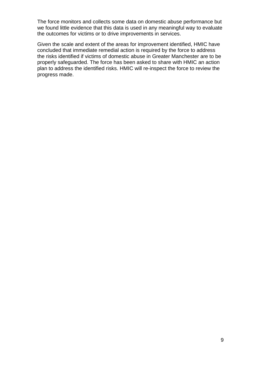The force monitors and collects some data on domestic abuse performance but we found little evidence that this data is used in any meaningful way to evaluate the outcomes for victims or to drive improvements in services.

Given the scale and extent of the areas for improvement identified, HMIC have concluded that immediate remedial action is required by the force to address the risks identified if victims of domestic abuse in Greater Manchester are to be properly safeguarded. The force has been asked to share with HMIC an action plan to address the identified risks. HMIC will re-inspect the force to review the progress made.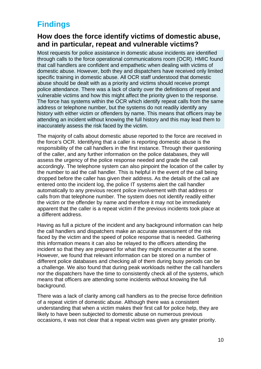# **Findings**

### **How does the force identify victims of domestic abuse, and in particular, repeat and vulnerable victims?**

Most requests for police assistance in domestic abuse incidents are identified through calls to the force operational communications room (OCR). HMIC found that call handlers are confident and empathetic when dealing with victims of domestic abuse. However, both they and dispatchers have received only limited specific training in domestic abuse. All OCR staff understood that domestic abuse should be dealt with as a priority and victims should receive prompt police attendance. There was a lack of clarity over the definitions of repeat and vulnerable victims and how this might affect the priority given to the response. The force has systems within the OCR which identify repeat calls from the same address or telephone number, but the systems do not readily identify any history with either victim or offenders by name. This means that officers may be attending an incident without knowing the full history and this may lead them to inaccurately assess the risk faced by the victim.

The majority of calls about domestic abuse reported to the force are received in the force's OCR. Identifying that a caller is reporting domestic abuse is the responsibility of the call handlers in the first instance. Through their questioning of the caller, and any further information on the police databases, they will assess the urgency of the police response needed and grade the call accordingly. The telephone system can also pinpoint the location of the caller by the number to aid the call handler. This is helpful in the event of the call being dropped before the caller has given their address. As the details of the call are entered onto the incident log, the police IT systems alert the call handler automatically to any previous recent police involvement with that address or calls from that telephone number. The system does not identify readily either the victim or the offender by name and therefore it may not be immediately apparent that the caller is a repeat victim if the previous incidents took place at a different address.

Having as full a picture of the incident and any background information can help the call handlers and dispatchers make an accurate assessment of the risk faced by the victim and the speed of police response that is needed. Gathering this information means it can also be relayed to the officers attending the incident so that they are prepared for what they might encounter at the scene. However, we found that relevant information can be stored on a number of different police databases and checking all of them during busy periods can be a challenge. We also found that during peak workloads neither the call handlers nor the dispatchers have the time to consistently check all of the systems, which means that officers are attending some incidents without knowing the full background.

There was a lack of clarity among call handlers as to the precise force definition of a repeat victim of domestic abuse. Although there was a consistent understanding that when a victim makes their first call for police help, they are likely to have been subjected to domestic abuse on numerous previous occasions, it was not clear that a repeat victim was given any greater priority.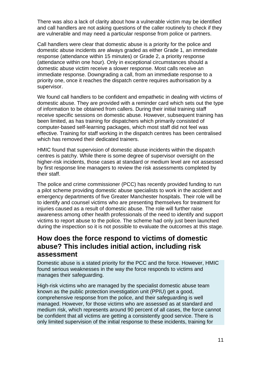There was also a lack of clarity about how a vulnerable victim may be identified and call handlers are not asking questions of the caller routinely to check if they are vulnerable and may need a particular response from police or partners.

Call handlers were clear that domestic abuse is a priority for the police and domestic abuse incidents are always graded as either Grade 1, an immediate response (attendance within 15 minutes) or Grade 2, a priority response (attendance within one hour). Only in exceptional circumstances should a domestic abuse victim receive a slower response. Most calls receive an immediate response. Downgrading a call, from an immediate response to a priority one, once it reaches the dispatch centre requires authorisation by a supervisor.

We found call handlers to be confident and empathetic in dealing with victims of domestic abuse. They are provided with a reminder card which sets out the type of information to be obtained from callers. During their initial training staff receive specific sessions on domestic abuse. However, subsequent training has been limited, as has training for dispatchers which primarily consisted of computer-based self-learning packages, which most staff did not feel was effective. Training for staff working in the dispatch centres has been centralised which has removed their dedicated trainers.

HMIC found that supervision of domestic abuse incidents within the dispatch centres is patchy. While there is some degree of supervisor oversight on the higher-risk incidents, those cases at standard or medium level are not assessed by first response line managers to review the risk assessments completed by their staff.

The police and crime commissioner (PCC) has recently provided funding to run a pilot scheme providing domestic abuse specialists to work in the accident and emergency departments of five Greater Manchester hospitals. Their role will be to identify and counsel victims who are presenting themselves for treatment for injuries caused as a result of domestic abuse. The role will further raise awareness among other health professionals of the need to identify and support victims to report abuse to the police. The scheme had only just been launched during the inspection so it is not possible to evaluate the outcomes at this stage.

### **How does the force respond to victims of domestic abuse? This includes initial action, including risk assessment**

Domestic abuse is a stated priority for the PCC and the force. However, HMIC found serious weaknesses in the way the force responds to victims and manages their safeguarding.

High-risk victims who are managed by the specialist domestic abuse team known as the public protection investigation unit (PPIU) get a good, comprehensive response from the police, and their safeguarding is well managed. However, for those victims who are assessed as at standard and medium risk, which represents around 90 percent of all cases, the force cannot be confident that all victims are getting a consistently good service. There is only limited supervision of the initial response to these incidents, training for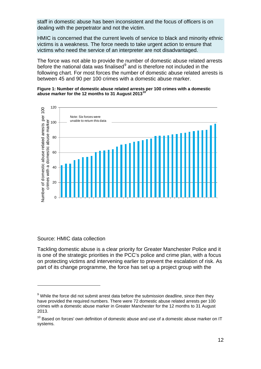staff in domestic abuse has been inconsistent and the focus of officers is on dealing with the perpetrator and not the victim.

HMIC is concerned that the current levels of service to black and minority ethnic victims is a weakness. The force needs to take urgent action to ensure that victims who need the service of an interpreter are not disadvantaged.

The force was not able to provide the number of domestic abuse related arrests before the national data was finalised<sup>[9](#page-11-0)</sup> and is therefore not included in the following chart. For most forces the number of domestic abuse related arrests is between 45 and 90 per 100 crimes with a domestic abuse marker.

#### **Figure 1: Number of domestic abuse related arrests per 100 crimes with a domestic abuse marker for the 12 months to 31 August 2013[10](#page-11-1)**



#### Source: HMIC data collection

-

Tackling domestic abuse is a clear priority for Greater Manchester Police and it is one of the strategic priorities in the PCC's police and crime plan, with a focus on protecting victims and intervening earlier to prevent the escalation of risk. As part of its change programme, the force has set up a project group with the

<span id="page-11-0"></span> $9$  While the force did not submit arrest data before the submission deadline, since then they have provided the required numbers. There were 72 domestic abuse related arrests per 100 crimes with a domestic abuse marker in Greater Manchester for the 12 months to 31 August 2013.

<span id="page-11-1"></span> $10$  Based on forces' own definition of domestic abuse and use of a domestic abuse marker on IT systems.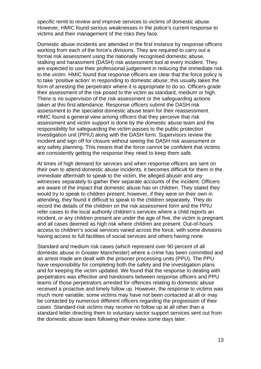specific remit to review and improve services to victims of domestic abuse. However, HMIC found serious weaknesses in the police's current response to victims and their management of the risks they face.

Domestic abuse incidents are attended in the first instance by response officers working from each of the force's divisions. They are required to carry out a formal risk assessment using the nationally recognised domestic abuse, stalking and harassment (DASH) risk assessment tool at every incident. They are expected to use their professional judgement in reducing the immediate risk to the victim. HMIC found that response officers are clear that the force policy is to take 'positive action' in responding to domestic abuse; this usually takes the form of arresting the perpetrator where it is appropriate to do so. Officers grade their assessment of the risk posed to the victim as standard, medium or high. There is no supervision of the risk assessment or the safeguarding actions taken at this first attendance. Response officers submit the DASH risk assessment to the specialist domestic abuse team for their reassessment. HMIC found a general view among officers that they perceive that risk assessment and victim support is done by the domestic abuse team and the responsibility for safeguarding the victim passes to the public protection investigation unit (PPIU) along with the DASH form. Supervisors review the incident and sign off for closure without seeing the DASH risk assessment or any safety planning. This means that the force cannot be confident that victims are consistently getting the response they need to keep them safe.

At times of high demand for services and when response officers are sent on their own to attend domestic abuse incidents, it becomes difficult for them in the immediate aftermath to speak to the victim, the alleged abuser and any witnesses separately to gather their separate accounts of the incident. Officers are aware of the impact that domestic abuse has on children. They stated they would try to speak to children present, however, if they were on their own in attending, they found it difficult to speak to the children separately. They do record the details of the children on the risk assessment form and the PPIU refer cases to the local authority children's services where a child reports an incident, or any children present are under the age of five, the victim is pregnant and all cases deemed as high risk where children are present. Out-of-hours access to children's social services varied across the force, with some divisions having access to full facilities of social services and others having none.

Standard and medium risk cases (which represent over 90 percent of all domestic abuse in Greater Manchester) where a crime has been committed and an arrest made are dealt with the prisoner processing units (PPU). The PPU have responsibility for completing both the safety and the investigation plans and for keeping the victim updated. We found that the response to dealing with perpetrators was effective and handovers between response officers and PPU teams of those perpetrators arrested for offences relating to domestic abuse received a proactive and timely follow up. However, the response to victims was much more variable; some victims may have not been contacted at all or may be contacted by numerous different officers regarding the progression of their cases. Standard-risk victims may receive no follow up at all other than a standard letter directing them to voluntary sector support services sent out from the domestic abuse team following their review some days later.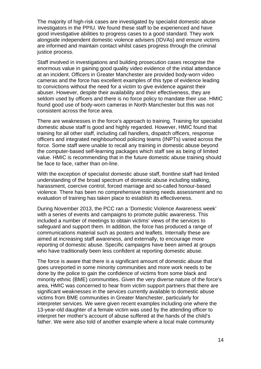The majority of high-risk cases are investigated by specialist domestic abuse investigators in the PPIU. We found these staff to be experienced and have good investigative abilities to progress cases to a good standard. They work alongside independent domestic violence advisers (IDVAs) and ensure victims are informed and maintain contact whilst cases progress through the criminal justice process.

Staff involved in investigations and building prosecution cases recognise the enormous value in gaining good quality video evidence of the initial attendance at an incident. Officers in Greater Manchester are provided body-worn video cameras and the force has excellent examples of this type of evidence leading to convictions without the need for a victim to give evidence against their abuser. However, despite their availability and their effectiveness, they are seldom used by officers and there is no force policy to mandate their use. HMIC found good use of body-worn cameras in North Manchester but this was not consistent across the force area.

There are weaknesses in the force's approach to training. Training for specialist domestic abuse staff is good and highly regarded. However, HMIC found that training for all other staff, including call handlers, dispatch officers, response officers and integrated neighbourhood policing teams (INPTs) varied across the force. Some staff were unable to recall any training in domestic abuse beyond the computer-based self-learning packages which staff see as being of limited value. HMIC is recommending that in the future domestic abuse training should be face to face, rather than on-line.

With the exception of specialist domestic abuse staff, frontline staff had limited understanding of the broad spectrum of domestic abuse including stalking, harassment, coercive control, forced marriage and so-called honour-based violence. There has been no comprehensive training needs assessment and no evaluation of training has taken place to establish its effectiveness.

During November 2013, the PCC ran a 'Domestic Violence Awareness week' with a series of events and campaigns to promote public awareness. This included a number of meetings to obtain victims' views of the services to safeguard and support them. In addition, the force has produced a range of communications material such as posters and leaflets. Internally these are aimed at increasing staff awareness, and externally, to encourage more reporting of domestic abuse. Specific campaigns have been aimed at groups who have traditionally been less confident at reporting domestic abuse.

The force is aware that there is a significant amount of domestic abuse that goes unreported in some minority communities and more work needs to be done by the police to gain the confidence of victims from some black and minority ethnic (BME) communities. Given the very diverse nature of the force's area, HMIC was concerned to hear from victim support partners that there are significant weaknesses in the services currently available to domestic abuse victims from BME communities in Greater Manchester, particularly for interpreter services. We were given recent examples including one where the 13-year-old daughter of a female victim was used by the attending officer to interpret her mother's account of abuse suffered at the hands of the child's father. We were also told of another example where a local male community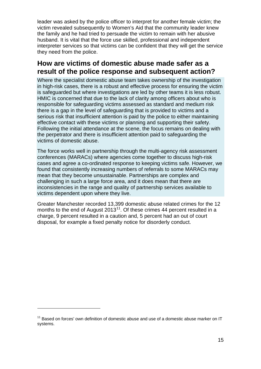leader was asked by the police officer to interpret for another female victim; the victim revealed subsequently to Women's Aid that the community leader knew the family and he had tried to persuade the victim to remain with her abusive husband. It is vital that the force use skilled, professional and independent interpreter services so that victims can be confident that they will get the service they need from the police.

### **How are victims of domestic abuse made safer as a result of the police response and subsequent action?**

Where the specialist domestic abuse team takes ownership of the investigation in high-risk cases, there is a robust and effective process for ensuring the victim is safeguarded but where investigations are led by other teams it is less robust. HMIC is concerned that due to the lack of clarity among officers about who is responsible for safeguarding victims assessed as standard and medium risk there is a gap in the level of safeguarding that is provided to victims and a serious risk that insufficient attention is paid by the police to either maintaining effective contact with these victims or planning and supporting their safety. Following the initial attendance at the scene, the focus remains on dealing with the perpetrator and there is insufficient attention paid to safeguarding the victims of domestic abuse.

The force works well in partnership through the multi-agency risk assessment conferences (MARACs) where agencies come together to discuss high-risk cases and agree a co-ordinated response to keeping victims safe. However, we found that consistently increasing numbers of referrals to some MARACs may mean that they become unsustainable. Partnerships are complex and challenging in such a large force area, and it does mean that there are inconsistencies in the range and quality of partnership services available to victims dependent upon where they live.

Greater Manchester recorded 13,399 domestic abuse related crimes for the 12 months to the end of August 2013<sup>11</sup>. Of these crimes 44 percent resulted in a charge, 9 percent resulted in a caution and, 5 percent had an out of court disposal, for example a fixed penalty notice for disorderly conduct.

-

<span id="page-14-0"></span> $11$  Based on forces' own definition of domestic abuse and use of a domestic abuse marker on IT systems.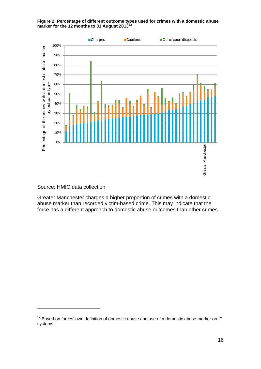**Figure 2: Percentage of different outcome types used for crimes with a domestic abuse marker for the 12 months to 31 August 2013[12](#page-15-0)**



Source: HMIC data collection

-

Greater Manchester charges a higher proportion of crimes with a domestic abuse marker than recorded victim-based crime. This may indicate that the force has a different approach to domestic abuse outcomes than other crimes.

<span id="page-15-0"></span> $12$  Based on forces' own definition of domestic abuse and use of a domestic abuse marker on IT systems.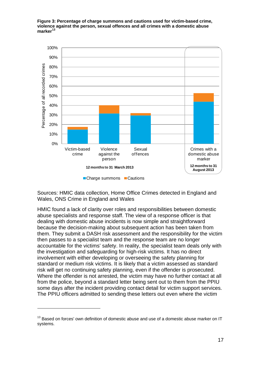**Figure 3: Percentage of charge summons and cautions used for victim-based crime, violence against the person, sexual offences and all crimes with a domestic abuse marker[13](#page-16-0)**



Sources: HMIC data collection, Home Office Crimes detected in England and Wales, ONS Crime in England and Wales

HMIC found a lack of clarity over roles and responsibilities between domestic abuse specialists and response staff. The view of a response officer is that dealing with domestic abuse incidents is now simple and straightforward because the decision-making about subsequent action has been taken from them. They submit a DASH risk assessment and the responsibility for the victim then passes to a specialist team and the response team are no longer accountable for the victims' safety. In reality, the specialist team deals only with the investigation and safeguarding for high-risk victims. It has no direct involvement with either developing or overseeing the safety planning for standard or medium risk victims. It is likely that a victim assessed as standard risk will get no continuing safety planning, even if the offender is prosecuted. Where the offender is not arrested, the victim may have no further contact at all from the police, beyond a standard letter being sent out to them from the PPIU some days after the incident providing contact detail for victim support services. The PPIU officers admitted to sending these letters out even where the victim

-

<span id="page-16-0"></span> $13$  Based on forces' own definition of domestic abuse and use of a domestic abuse marker on IT systems.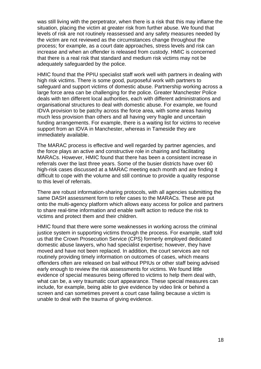was still living with the perpetrator, when there is a risk that this may inflame the situation, placing the victim at greater risk from further abuse. We found that levels of risk are not routinely reassessed and any safety measures needed by the victim are not reviewed as the circumstances change throughout the process; for example, as a court date approaches, stress levels and risk can increase and when an offender is released from custody. HMIC is concerned that there is a real risk that standard and medium risk victims may not be adequately safeguarded by the police.

HMIC found that the PPIU specialist staff work well with partners in dealing with high risk victims. There is some good, purposeful work with partners to safeguard and support victims of domestic abuse. Partnership working across a large force area can be challenging for the police. Greater Manchester Police deals with ten different local authorities, each with different administrations and organisational structures to deal with domestic abuse. For example, we found IDVA provision to be patchy across the force area, with some areas having much less provision than others and all having very fragile and uncertain funding arrangements. For example, there is a waiting list for victims to receive support from an IDVA in Manchester, whereas in Tameside they are immediately available.

The MARAC process is effective and well regarded by partner agencies, and the force plays an active and constructive role in chairing and facilitating MARACs. However, HMIC found that there has been a consistent increase in referrals over the last three years. Some of the busier districts have over 60 high-risk cases discussed at a MARAC meeting each month and are finding it difficult to cope with the volume and still continue to provide a quality response to this level of referrals.

There are robust information-sharing protocols, with all agencies submitting the same DASH assessment form to refer cases to the MARACs. These are put onto the multi-agency platform which allows easy access for police and partners to share real-time information and enable swift action to reduce the risk to victims and protect them and their children.

HMIC found that there were some weaknesses in working across the criminal justice system in supporting victims through the process. For example, staff told us that the Crown Prosecution Service (CPS) formerly employed dedicated domestic abuse lawyers, who had specialist expertise; however, they have moved and have not been replaced. In addition, the court services are not routinely providing timely information on outcomes of cases, which means offenders often are released on bail without PPIUs or other staff being advised early enough to review the risk assessments for victims. We found little evidence of special measures being offered to victims to help them deal with, what can be, a very traumatic court appearance. These special measures can include, for example, being able to give evidence by video link or behind a screen and can sometimes prevent a court case failing because a victim is unable to deal with the trauma of giving evidence.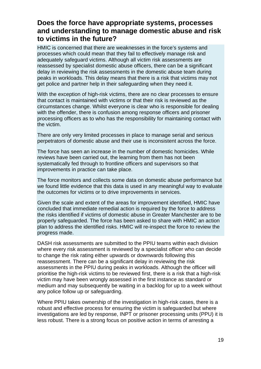### **Does the force have appropriate systems, processes and understanding to manage domestic abuse and risk to victims in the future?**

HMIC is concerned that there are weaknesses in the force's systems and processes which could mean that they fail to effectively manage risk and adequately safeguard victims. Although all victim risk assessments are reassessed by specialist domestic abuse officers, there can be a significant delay in reviewing the risk assessments in the domestic abuse team during peaks in workloads. This delay means that there is a risk that victims may not get police and partner help in their safeguarding when they need it.

With the exception of high-risk victims, there are no clear processes to ensure that contact is maintained with victims or that their risk is reviewed as the circumstances change. Whilst everyone is clear who is responsible for dealing with the offender, there is confusion among response officers and prisoner processing officers as to who has the responsibility for maintaining contact with the victim.

There are only very limited processes in place to manage serial and serious perpetrators of domestic abuse and their use is inconsistent across the force.

The force has seen an increase in the number of domestic homicides. While reviews have been carried out, the learning from them has not been systematically fed through to frontline officers and supervisors so that improvements in practice can take place.

The force monitors and collects some data on domestic abuse performance but we found little evidence that this data is used in any meaningful way to evaluate the outcomes for victims or to drive improvements in services.

Given the scale and extent of the areas for improvement identified, HMIC have concluded that immediate remedial action is required by the force to address the risks identified if victims of domestic abuse in Greater Manchester are to be properly safeguarded. The force has been asked to share with HMIC an action plan to address the identified risks. HMIC will re-inspect the force to review the progress made.

DASH risk assessments are submitted to the PPIU teams within each division where every risk assessment is reviewed by a specialist officer who can decide to change the risk rating either upwards or downwards following this reassessment. There can be a significant delay in reviewing the risk assessments in the PPIU during peaks in workloads. Although the officer will prioritise the high-risk victims to be reviewed first, there is a risk that a high-risk victim may have been wrongly assessed in the first instance as standard or medium and may subsequently be waiting in a backlog for up to a week without any police follow up or safeguarding.

Where PPIU takes ownership of the investigation in high-risk cases, there is a robust and effective process for ensuring the victim is safeguarded but where investigations are led by response, INPT or prisoner processing units (PPU) it is less robust. There is a strong focus on positive action in terms of arresting a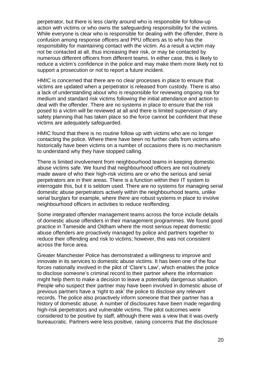perpetrator, but there is less clarity around who is responsible for follow-up action with victims or who owns the safeguarding responsibility for the victims. While everyone is clear who is responsible for dealing with the offender, there is confusion among response officers and PPU officers as to who has the responsibility for maintaining contact with the victim. As a result a victim may not be contacted at all, thus increasing their risk, or may be contacted by numerous different officers from different teams. In either case, this is likely to reduce a victim's confidence in the police and may make them more likely not to support a prosecution or not to report a future incident.

HMIC is concerned that there are no clear processes in place to ensure that victims are updated when a perpetrator is released from custody. There is also a lack of understanding about who is responsible for reviewing ongoing risk for medium and standard risk victims following the initial attendance and action to deal with the offender. There are no systems in place to ensure that the risk posed to a victim will be reviewed at all and there is limited supervision of any safety planning that has taken place so the force cannot be confident that these victims are adequately safeguarded.

HMIC found that there is no routine follow up with victims who are no longer contacting the police. Where there have been no further calls from victims who historically have been victims on a number of occasions there is no mechanism to understand why they have stopped calling.

There is limited involvement from neighbourhood teams in keeping domestic abuse victims safe. We found that neighbourhood officers are not routinely made aware of who their high-risk victims are or who the serious and serial perpetrators are in their areas. There is a function within their IT system to interrogate this, but it is seldom used. There are no systems for managing serial domestic abuse perpetrators actively within the neighbourhood teams, unlike serial burglars for example, where there are robust systems in place to involve neighbourhood officers in activities to reduce reoffending.

Some integrated offender management teams across the force include details of domestic abuse offenders in their management programmes. We found good practice in Tameside and Oldham where the most serious repeat domestic abuse offenders are proactively managed by police and partners together to reduce their offending and risk to victims; however, this was not consistent across the force area.

Greater Manchester Police has demonstrated a willingness to improve and innovate in its services to domestic abuse victims. It has been one of the four forces nationally involved in the pilot of 'Clare's Law', which enables the police to disclose someone's criminal record to their partner where the information might help them to make a decision to leave a potentially dangerous situation. People who suspect their partner may have been involved in domestic abuse of previous partners have a 'right to ask' the police to disclose any relevant records. The police also proactively inform someone that their partner has a history of domestic abuse. A number of disclosures have been made regarding high-risk perpetrators and vulnerable victims. The pilot outcomes were considered to be positive by staff, although there was a view that it was overly bureaucratic. Partners were less positive, raising concerns that the disclosure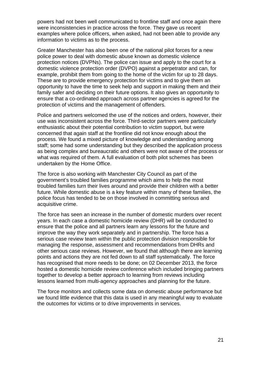powers had not been well communicated to frontline staff and once again there were inconsistencies in practice across the force. They gave us recent examples where police officers, when asked, had not been able to provide any information to victims as to the process.

Greater Manchester has also been one of the national pilot forces for a new police power to deal with domestic abuse known as domestic violence protection notices (DVPNs). The police can issue and apply to the court for a domestic violence protection order (DVPO) against a perpetrator and can, for example, prohibit them from going to the home of the victim for up to 28 days. These are to provide emergency protection for victims and to give them an opportunity to have the time to seek help and support in making them and their family safer and deciding on their future options. It also gives an opportunity to ensure that a co-ordinated approach across partner agencies is agreed for the protection of victims and the management of offenders.

Police and partners welcomed the use of the notices and orders, however, their use was inconsistent across the force. Third-sector partners were particularly enthusiastic about their potential contribution to victim support, but were concerned that again staff at the frontline did not know enough about the process. We found a mixed picture of knowledge and understanding among staff; some had some understanding but they described the application process as being complex and bureaucratic and others were not aware of the process or what was required of them. A full evaluation of both pilot schemes has been undertaken by the Home Office.

The force is also working with Manchester City Council as part of the government's troubled families programme which aims to help the most troubled families turn their lives around and provide their children with a better future. While domestic abuse is a key feature within many of these families, the police focus has tended to be on those involved in committing serious and acquisitive crime.

The force has seen an increase in the number of domestic murders over recent years. In each case a domestic homicide review (DHR) will be conducted to ensure that the police and all partners learn any lessons for the future and improve the way they work separately and in partnership. The force has a serious case review team within the public protection division responsible for managing the response, assessment and recommendations from DHRs and other serious case reviews. However, we found that although there are learning points and actions they are not fed down to all staff systematically. The force has recognised that more needs to be done; on 02 December 2013, the force hosted a domestic homicide review conference which included bringing partners together to develop a better approach to learning from reviews including lessons learned from multi-agency approaches and planning for the future.

The force monitors and collects some data on domestic abuse performance but we found little evidence that this data is used in any meaningful way to evaluate the outcomes for victims or to drive improvements in services.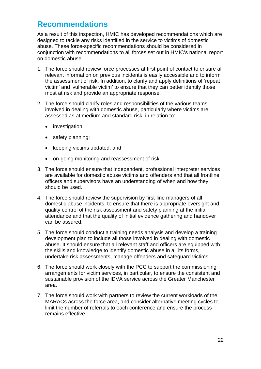# **Recommendations**

As a result of this inspection, HMIC has developed recommendations which are designed to tackle any risks identified in the service to victims of domestic abuse. These force-specific recommendations should be considered in conjunction with recommendations to all forces set out in HMIC's national report on domestic abuse.

- 1. The force should review force processes at first point of contact to ensure all relevant information on previous incidents is easily accessible and to inform the assessment of risk. In addition, to clarify and apply definitions of 'repeat victim' and 'vulnerable victim' to ensure that they can better identify those most at risk and provide an appropriate response.
- 2. The force should clarify roles and responsibilities of the various teams involved in dealing with domestic abuse, particularly where victims are assessed as at medium and standard risk, in relation to:
	- investigation;
	- safety planning;
	- keeping victims updated; and
	- on-going monitoring and reassessment of risk.
- 3. The force should ensure that independent, professional interpreter services are available for domestic abuse victims and offenders and that all frontline officers and supervisors have an understanding of when and how they should be used.
- 4. The force should review the supervision by first-line managers of all domestic abuse incidents, to ensure that there is appropriate oversight and quality control of the risk assessment and safety planning at the initial attendance and that the quality of initial evidence gathering and handover can be assured.
- 5. The force should conduct a training needs analysis and develop a training development plan to include all those involved in dealing with domestic abuse. It should ensure that all relevant staff and officers are equipped with the skills and knowledge to identify domestic abuse in all its forms, undertake risk assessments, manage offenders and safeguard victims.
- 6. The force should work closely with the PCC to support the commissioning arrangements for victim services, in particular, to ensure the consistent and sustainable provision of the IDVA service across the Greater Manchester area.
- 7. The force should work with partners to review the current workloads of the MARACs across the force area, and consider alternative meeting cycles to limit the number of referrals to each conference and ensure the process remains effective.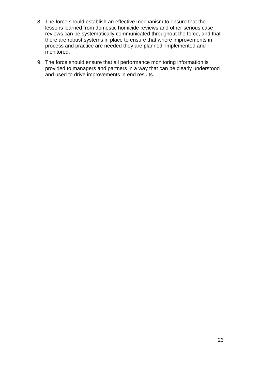- 8. The force should establish an effective mechanism to ensure that the lessons learned from domestic homicide reviews and other serious case reviews can be systematically communicated throughout the force, and that there are robust systems in place to ensure that where improvements in process and practice are needed they are planned, implemented and monitored.
- 9. The force should ensure that all performance monitoring information is provided to managers and partners in a way that can be clearly understood and used to drive improvements in end results.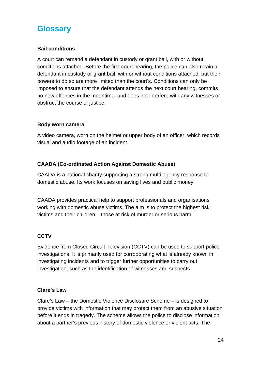# **Glossary**

#### **Bail conditions**

A court can remand a defendant in custody or grant bail, with or without conditions attached. Before the first court hearing, the police can also retain a defendant in custody or grant bail, with or without conditions attached, but their powers to do so are more limited than the court's. Conditions can only be imposed to ensure that the defendant attends the next court hearing, commits no new offences in the meantime, and does not interfere with any witnesses or obstruct the course of justice.

#### **Body worn camera**

A video camera, worn on the helmet or upper body of an officer, which records visual and audio footage of an incident.

#### **CAADA (Co-ordinated Action Against Domestic Abuse)**

CAADA is a national charity supporting a strong multi-agency response to domestic abuse. Its work focuses on saving lives and public money.

CAADA provides practical help to support professionals and organisations working with domestic abuse victims. The aim is to protect the highest risk victims and their children – those at risk of murder or serious harm.

#### **CCTV**

Evidence from Closed Circuit Television (CCTV) can be used to support police investigations. It is primarily used for corroborating what is already known in investigating incidents and to trigger further opportunities to carry out investigation, such as the identification of witnesses and suspects.

#### **Clare's Law**

Clare's Law – the Domestic Violence Disclosure Scheme – is designed to provide victims with information that may protect them from an abusive situation before it ends in tragedy. The scheme allows the police to disclose information about a partner's previous history of domestic violence or violent acts. The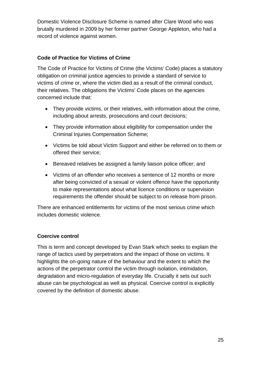Domestic Violence Disclosure Scheme is named after Clare Wood who was brutally murdered in 2009 by her former partner George Appleton, who had a record of violence against women.

#### **Code of Practice for Victims of Crime**

The Code of Practice for Victims of Crime (the Victims' Code) places a statutory obligation on criminal justice agencies to provide a standard of service to victims of crime or, where the victim died as a result of the criminal conduct, their relatives. The obligations the Victims' Code places on the agencies concerned include that:

- They provide victims, or their relatives, with information about the crime, including about arrests, prosecutions and court decisions;
- They provide information about eligibility for compensation under the Criminal Injuries Compensation Scheme;
- Victims be told about Victim Support and either be referred on to them or offered their service;
- Bereaved relatives be assigned a family liaison police officer; and
- Victims of an offender who receives a sentence of 12 months or more after being convicted of a sexual or violent offence have the opportunity to make representations about what licence conditions or supervision requirements the offender should be subject to on release from prison.

There are enhanced entitlements for victims of the most serious crime which includes domestic violence.

#### **Coercive control**

This is term and concept developed by Evan Stark which seeks to explain the range of tactics used by perpetrators and the impact of those on victims. It highlights the on-going nature of the behaviour and the extent to which the actions of the perpetrator control the victim through isolation, intimidation, degradation and micro-regulation of everyday life. Crucially it sets out such abuse can be psychological as well as physical. Coercive control is explicitly covered by the definition of domestic abuse.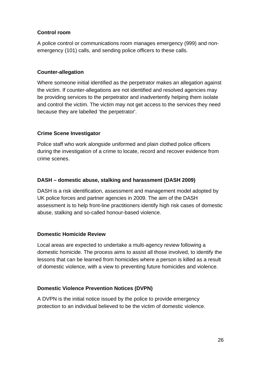#### **Control room**

A police control or communications room manages emergency (999) and nonemergency (101) calls, and sending police officers to these calls.

#### **Counter-allegation**

Where someone initial identified as the perpetrator makes an allegation against the victim. If counter-allegations are not identified and resolved agencies may be providing services to the perpetrator and inadvertently helping them isolate and control the victim. The victim may not get access to the services they need because they are labelled 'the perpetrator'.

#### **Crime Scene Investigator**

Police staff who work alongside uniformed and plain clothed police officers during the investigation of a crime to locate, record and recover evidence from crime scenes.

#### **DASH – domestic abuse, stalking and harassment (DASH 2009)**

DASH is a risk identification, assessment and management model adopted by UK police forces and partner agencies in 2009. The aim of the DASH assessment is to help front-line practitioners identify high risk cases of domestic abuse, stalking and so-called honour-based violence.

#### **Domestic Homicide Review**

Local areas are expected to undertake a multi-agency review following a domestic homicide. The process aims to assist all those involved, to identify the lessons that can be learned from homicides where a person is killed as a result of domestic violence, with a view to preventing future homicides and violence.

#### **Domestic Violence Prevention Notices (DVPN)**

A DVPN is the initial notice issued by the police to provide emergency protection to an individual believed to be the victim of domestic violence.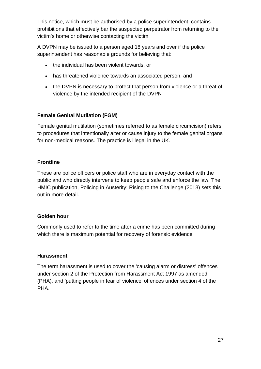This notice, which must be authorised by a police superintendent, contains prohibitions that effectively bar the suspected perpetrator from returning to the victim's home or otherwise contacting the victim.

A DVPN may be issued to a person aged 18 years and over if the police superintendent has reasonable grounds for believing that:

- the individual has been violent towards, or
- has threatened violence towards an associated person, and
- the DVPN is necessary to protect that person from violence or a threat of violence by the intended recipient of the DVPN

#### **Female Genital Mutilation (FGM)**

Female genital mutilation (sometimes referred to as female circumcision) refers to procedures that intentionally alter or cause injury to the female genital organs for non-medical reasons. The practice is illegal in the UK.

#### **Frontline**

These are police officers or police staff who are in everyday contact with the public and who directly intervene to keep people safe and enforce the law. The HMIC publication, Policing in Austerity: Rising to the Challenge (2013) sets this out in more detail.

#### **Golden hour**

Commonly used to refer to the time after a crime has been committed during which there is maximum potential for recovery of forensic evidence

#### **Harassment**

The term harassment is used to cover the 'causing alarm or distress' offences under section 2 of the Protection from Harassment Act 1997 as amended (PHA), and 'putting people in fear of violence' offences under section 4 of the PHA.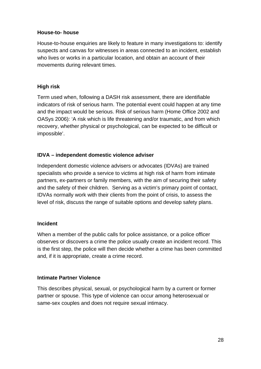#### **House-to- house**

House-to-house enquiries are likely to feature in many investigations to: identify suspects and canvas for witnesses in areas connected to an incident, establish who lives or works in a particular location, and obtain an account of their movements during relevant times.

#### **High risk**

Term used when, following a DASH risk assessment, there are identifiable indicators of risk of serious harm. The potential event could happen at any time and the impact would be serious. Risk of serious harm (Home Office 2002 and OASys 2006): 'A risk which is life threatening and/or traumatic, and from which recovery, whether physical or psychological, can be expected to be difficult or impossible'.

#### **IDVA – independent domestic violence adviser**

Independent domestic violence advisers or advocates (IDVAs) are trained specialists who provide a service to victims at high risk of harm from intimate partners, ex-partners or family members, with the aim of securing their safety and the safety of their children. Serving as a victim's primary point of contact, IDVAs normally work with their clients from the point of crisis, to assess the level of risk, discuss the range of suitable options and develop safety plans.

#### **Incident**

When a member of the public calls for police assistance, or a police officer observes or discovers a crime the police usually create an incident record. This is the first step, the police will then decide whether a crime has been committed and, if it is appropriate, create a crime record.

#### **Intimate Partner Violence**

This describes physical, sexual, or psychological harm by a current or former partner or spouse. This type of violence can occur among heterosexual or same-sex couples and does not require sexual intimacy.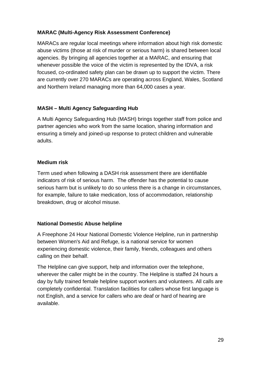#### **MARAC (Multi-Agency Risk Assessment Conference)**

MARACs are regular local meetings where information about high risk domestic abuse victims (those at risk of murder or serious harm) is shared between local agencies. By bringing all agencies together at a MARAC, and ensuring that whenever possible the voice of the victim is represented by the IDVA, a risk focused, co-ordinated safety plan can be drawn up to support the victim. There are currently over 270 MARACs are operating across England, Wales, Scotland and Northern Ireland managing more than 64,000 cases a year.

#### **MASH – Multi Agency Safeguarding Hub**

A Multi Agency Safeguarding Hub (MASH) brings together staff from police and partner agencies who work from the same location, sharing information and ensuring a timely and joined-up response to protect children and vulnerable adults.

#### **Medium risk**

Term used when following a DASH risk assessment there are identifiable indicators of risk of serious harm. The offender has the potential to cause serious harm but is unlikely to do so unless there is a change in circumstances, for example, failure to take medication, loss of accommodation, relationship breakdown, drug or alcohol misuse.

#### **National Domestic Abuse helpline**

A Freephone 24 Hour National Domestic Violence Helpline, run in partnership between Women's Aid and Refuge, is a national service for women experiencing domestic violence, their family, friends, colleagues and others calling on their behalf.

The Helpline can give support, help and information over the telephone, wherever the caller might be in the country. The Helpline is staffed 24 hours a day by fully trained female helpline support workers and volunteers. All calls are completely confidential. Translation facilities for callers whose first language is not English, and a service for callers who are deaf or hard of hearing are available.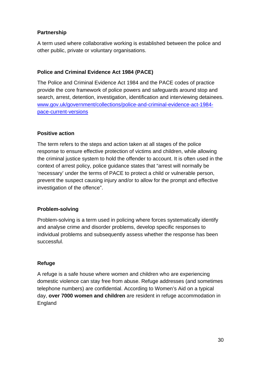#### **Partnership**

A term used where collaborative working is established between the police and other public, private or voluntary organisations.

#### **Police and Criminal Evidence Act 1984 (PACE)**

The Police and Criminal Evidence Act 1984 and the PACE codes of practice provide the core framework of police powers and safeguards around stop and search, arrest, detention, investigation, identification and interviewing detainees. [www.gov.uk/government/collections/police-and-criminal-evidence-act-1984](http://www.gov.uk/government/collections/police-and-criminal-evidence-act-1984-pace-current-versions) [pace-current-versions](http://www.gov.uk/government/collections/police-and-criminal-evidence-act-1984-pace-current-versions)

#### **Positive action**

The term refers to the steps and action taken at all stages of the police response to ensure effective protection of victims and children, while allowing the criminal justice system to hold the offender to account. It is often used in the context of arrest policy, police guidance states that "arrest will normally be 'necessary' under the terms of PACE to protect a child or vulnerable person, prevent the suspect causing injury and/or to allow for the prompt and effective investigation of the offence".

#### **Problem-solving**

Problem-solving is a term used in policing where forces systematically identify and analyse crime and disorder problems, develop specific responses to individual problems and subsequently assess whether the response has been successful.

#### **Refuge**

A refuge is a safe house where women and children who are experiencing domestic violence can stay free from abuse. Refuge addresses (and sometimes telephone numbers) are confidential. According to Women's Aid on a typical day, **over 7000 women and children** are resident in refuge accommodation in England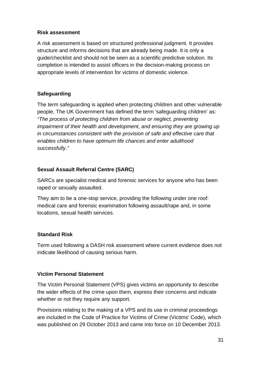#### **Risk assessment**

A risk assessment is based on structured professional judgment. It provides structure and informs decisions that are already being made. It is only a guide/checklist and should not be seen as a scientific predictive solution. Its completion is intended to assist officers in the decision-making process on appropriate levels of intervention for victims of domestic violence.

#### **Safeguarding**

The term safeguarding is applied when protecting children and other vulnerable people. The UK Government has defined the term 'safeguarding children' as: *"The process of protecting children from abuse or neglect, preventing impairment of their health and development, and ensuring they are growing up in circumstances consistent with the provision of safe and effective care that enables children to have optimum life chances and enter adulthood successfully."*

#### **Sexual Assault Referral Centre (SARC)**

SARCs are specialist medical and forensic services for anyone who has been raped or sexually assaulted.

They aim to be a one-stop service, providing the following under one roof: medical care and forensic examination following assault/rape and, in some locations, sexual health services.

#### **Standard Risk**

Term used following a DASH risk assessment where current evidence does not indicate likelihood of causing serious harm.

#### **Victim Personal Statement**

The Victim Personal Statement (VPS) gives victims an opportunity to describe the wider effects of the crime upon them, express their concerns and indicate whether or not they require any support.

Provisions relating to the making of a VPS and its use in criminal proceedings are included in the Code of Practice for Victims of Crime (Victims' Code), which was published on 29 October 2013 and came into force on 10 December 2013.